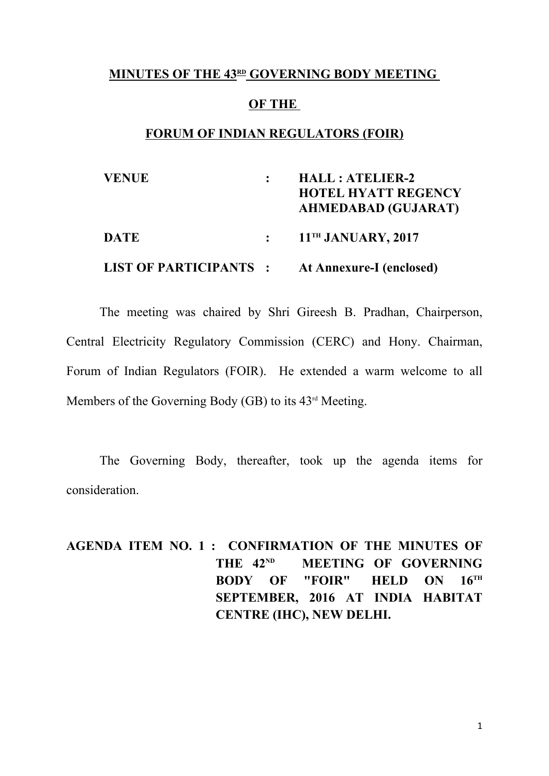#### **MINUTES OF THE 43RD GOVERNING BODY MEETING**

#### **OF THE**

#### **FORUM OF INDIAN REGULATORS (FOIR)**

| <b>VENUE</b>                 | <b>HALL: ATELIER-2</b><br><b>HOTEL HYATT REGENCY</b><br><b>AHMEDABAD (GUJARAT)</b> |
|------------------------------|------------------------------------------------------------------------------------|
| <b>DATE</b>                  | $\colon$ 11 <sup>TH</sup> JANUARY, 2017                                            |
| <b>LIST OF PARTICIPANTS:</b> | At Annexure-I (enclosed)                                                           |

The meeting was chaired by Shri Gireesh B. Pradhan, Chairperson, Central Electricity Regulatory Commission (CERC) and Hony. Chairman, Forum of Indian Regulators (FOIR). He extended a warm welcome to all Members of the Governing Body (GB) to its 43<sup>rd</sup> Meeting.

The Governing Body, thereafter, took up the agenda items for consideration.

**AGENDA ITEM NO. 1 : CONFIRMATION OF THE MINUTES OF**  THE  $42^{ND}$  **MEETING OF GOVERNING BODY OF "FOIR" HELD ON 16TH SEPTEMBER, 2016 AT INDIA HABITAT CENTRE (IHC), NEW DELHI.**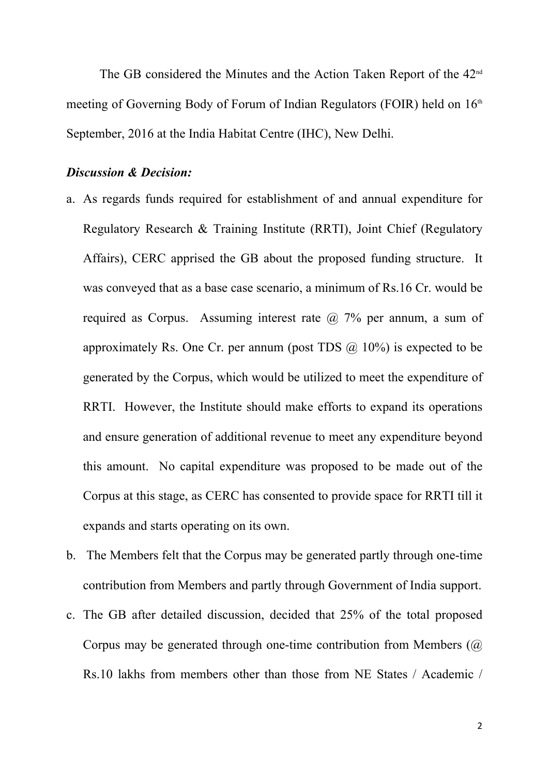The GB considered the Minutes and the Action Taken Report of the 42<sup>nd</sup> meeting of Governing Body of Forum of Indian Regulators (FOIR) held on 16<sup>th</sup> September, 2016 at the India Habitat Centre (IHC), New Delhi.

### *Discussion & Decision:*

- a. As regards funds required for establishment of and annual expenditure for Regulatory Research & Training Institute (RRTI), Joint Chief (Regulatory Affairs), CERC apprised the GB about the proposed funding structure. It was conveyed that as a base case scenario, a minimum of Rs.16 Cr. would be required as Corpus. Assuming interest rate  $\omega$  7% per annum, a sum of approximately Rs. One Cr. per annum (post TDS  $\omega$  10%) is expected to be generated by the Corpus, which would be utilized to meet the expenditure of RRTI. However, the Institute should make efforts to expand its operations and ensure generation of additional revenue to meet any expenditure beyond this amount. No capital expenditure was proposed to be made out of the Corpus at this stage, as CERC has consented to provide space for RRTI till it expands and starts operating on its own.
- b. The Members felt that the Corpus may be generated partly through one-time contribution from Members and partly through Government of India support.
- c. The GB after detailed discussion, decided that 25% of the total proposed Corpus may be generated through one-time contribution from Members (@ Rs.10 lakhs from members other than those from NE States / Academic /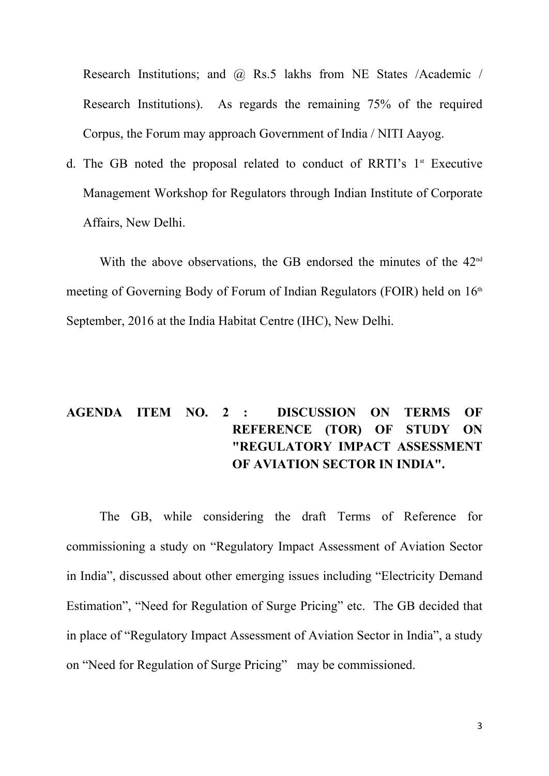Research Institutions; and @ Rs.5 lakhs from NE States /Academic / Research Institutions). As regards the remaining 75% of the required Corpus, the Forum may approach Government of India / NITI Aayog.

d. The GB noted the proposal related to conduct of RRTI's  $1<sup>st</sup>$  Executive Management Workshop for Regulators through Indian Institute of Corporate Affairs, New Delhi.

With the above observations, the GB endorsed the minutes of the 42<sup>nd</sup> meeting of Governing Body of Forum of Indian Regulators (FOIR) held on  $16<sup>th</sup>$ September, 2016 at the India Habitat Centre (IHC), New Delhi.

## **AGENDA ITEM NO. 2 : DISCUSSION ON TERMS OF REFERENCE (TOR) OF STUDY ON "REGULATORY IMPACT ASSESSMENT OF AVIATION SECTOR IN INDIA".**

The GB, while considering the draft Terms of Reference for commissioning a study on "Regulatory Impact Assessment of Aviation Sector in India", discussed about other emerging issues including "Electricity Demand Estimation", "Need for Regulation of Surge Pricing" etc. The GB decided that in place of "Regulatory Impact Assessment of Aviation Sector in India", a study on "Need for Regulation of Surge Pricing" may be commissioned.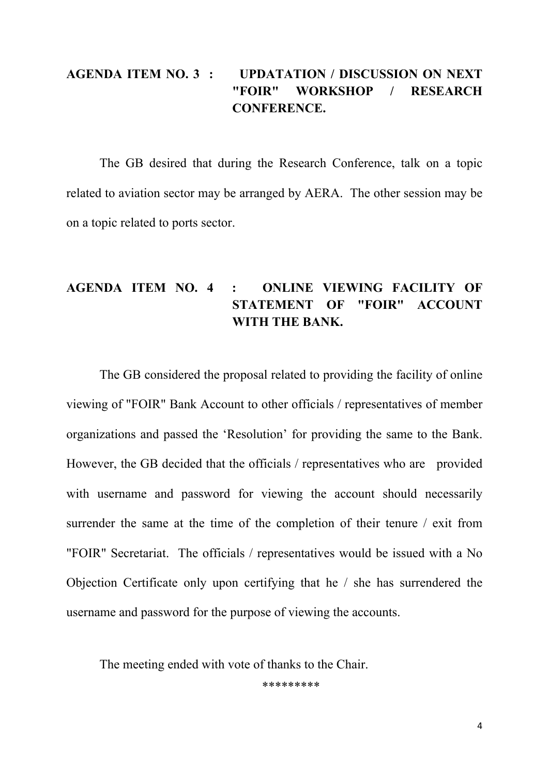### **AGENDA ITEM NO. 3 : UPDATATION / DISCUSSION ON NEXT "FOIR" WORKSHOP / RESEARCH CONFERENCE.**

The GB desired that during the Research Conference, talk on a topic related to aviation sector may be arranged by AERA. The other session may be on a topic related to ports sector.

### **AGENDA ITEM NO. 4 : ONLINE VIEWING FACILITY OF STATEMENT OF "FOIR" ACCOUNT WITH THE BANK.**

The GB considered the proposal related to providing the facility of online viewing of "FOIR" Bank Account to other officials / representatives of member organizations and passed the 'Resolution' for providing the same to the Bank. However, the GB decided that the officials / representatives who are provided with username and password for viewing the account should necessarily surrender the same at the time of the completion of their tenure / exit from "FOIR" Secretariat. The officials / representatives would be issued with a No Objection Certificate only upon certifying that he / she has surrendered the username and password for the purpose of viewing the accounts.

The meeting ended with vote of thanks to the Chair.

\*\*\*\*\*\*\*\*\*